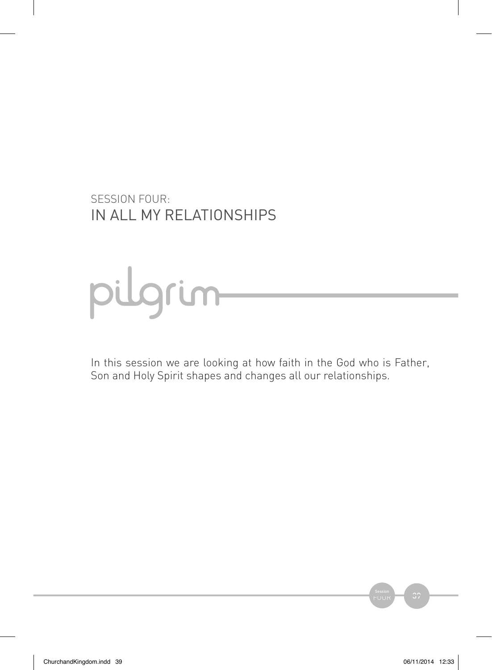SESSION FOUR: IN ALL MY RELATIONSHIPS

# pulgrum

In this session we are looking at how faith in the God who is Father, Son and Holy Spirit shapes and changes all our relationships.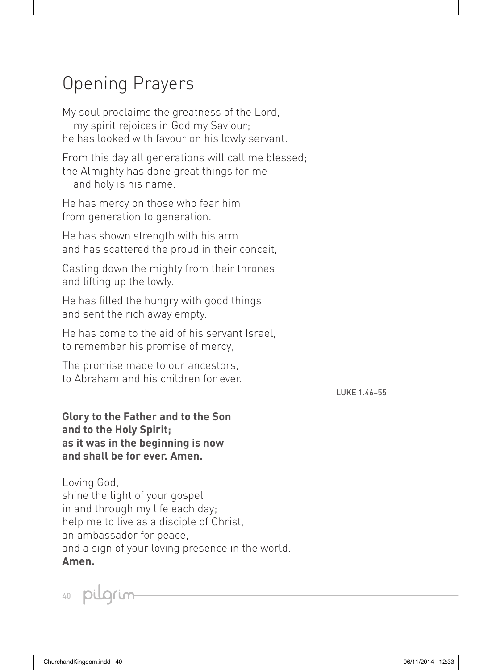# Opening Prayers

My soul proclaims the greatness of the Lord, my spirit rejoices in God my Saviour; he has looked with favour on his lowly servant.

From this day all generations will call me blessed; the Almighty has done great things for me and holy is his name.

He has mercy on those who fear him, from generation to generation.

He has shown strength with his arm and has scattered the proud in their conceit,

Casting down the mighty from their thrones and lifting up the lowly.

He has filled the hungry with good things and sent the rich away empty.

He has come to the aid of his servant Israel, to remember his promise of mercy,

The promise made to our ancestors, to Abraham and his children for ever.

LUKE 1.46–55

**Glory to the Father and to the Son and to the Holy Spirit; as it was in the beginning is now and shall be for ever. Amen.**

Loving God, shine the light of your gospel in and through my life each day; help me to live as a disciple of Christ, an ambassador for peace, and a sign of your loving presence in the world. **Amen.**

40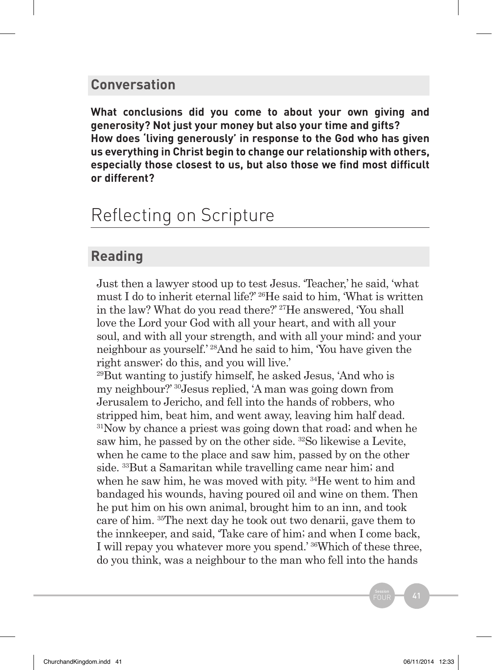#### **Conversation**

**What conclusions did you come to about your own giving and generosity? Not just your money but also your time and gifts? How does 'living generously' in response to the God who has given us everything in Christ begin to change our relationship with others, especially those closest to us, but also those we find most difficult or different?** 

## Reflecting on Scripture

## **Reading**

Just then a lawyer stood up to test Jesus. 'Teacher,' he said, 'what must I do to inherit eternal life?' 26He said to him, 'What is written in the law? What do you read there?' 27He answered, 'You shall love the Lord your God with all your heart, and with all your soul, and with all your strength, and with all your mind; and your neighbour as yourself.' 28And he said to him, 'You have given the right answer; do this, and you will live.'

<sup>29</sup>But wanting to justify himself, he asked Jesus, 'And who is my neighbour?' 30Jesus replied, 'A man was going down from Jerusalem to Jericho, and fell into the hands of robbers, who stripped him, beat him, and went away, leaving him half dead. 31Now by chance a priest was going down that road; and when he saw him, he passed by on the other side. 32So likewise a Levite, when he came to the place and saw him, passed by on the other side. 33But a Samaritan while travelling came near him; and when he saw him, he was moved with pity. <sup>34</sup>He went to him and bandaged his wounds, having poured oil and wine on them. Then he put him on his own animal, brought him to an inn, and took care of him. 35The next day he took out two denarii, gave them to the innkeeper, and said, 'Take care of him; and when I come back, I will repay you whatever more you spend.' 36Which of these three, do you think, was a neighbour to the man who fell into the hands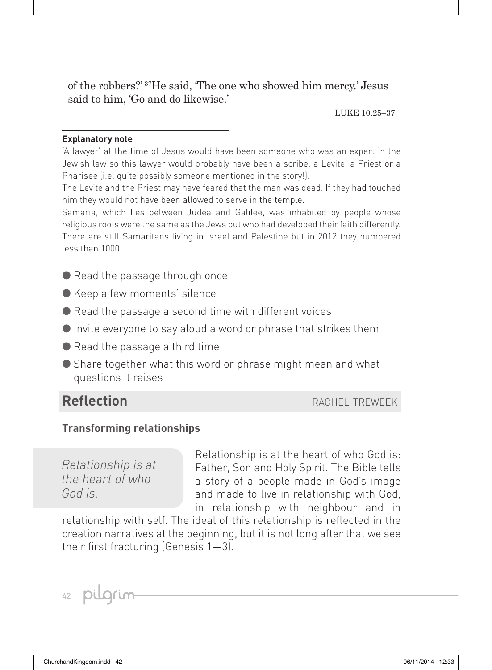of the robbers?' 37He said, 'The one who showed him mercy.' Jesus said to him, 'Go and do likewise.'

LUKE 10.25–37

#### **Explanatory note**

'A lawyer' at the time of Jesus would have been someone who was an expert in the Jewish law so this lawyer would probably have been a scribe, a Levite, a Priest or a Pharisee (i.e. quite possibly someone mentioned in the story!).

The Levite and the Priest may have feared that the man was dead. If they had touched him they would not have been allowed to serve in the temple.

Samaria, which lies between Judea and Galilee, was inhabited by people whose religious roots were the same as the Jews but who had developed their faith differently. There are still Samaritans living in Israel and Palestine but in 2012 they numbered less than 1000.

- Read the passage through once
- Keep a few moments' silence
- Read the passage a second time with different voices
- Invite everyone to say aloud a word or phrase that strikes them
- Read the passage a third time
- Share together what this word or phrase might mean and what questions it raises

### **Reflection Reflection rachel treweek**

#### **Transforming relationships**

*Relationship is at the heart of who God is.*

Relationship is at the heart of who God is: Father, Son and Holy Spirit. The Bible tells a story of a people made in God's image and made to live in relationship with God, in relationship with neighbour and in

relationship with self. The ideal of this relationship is reflected in the creation narratives at the beginning, but it is not long after that we see their first fracturing (Genesis 1—3).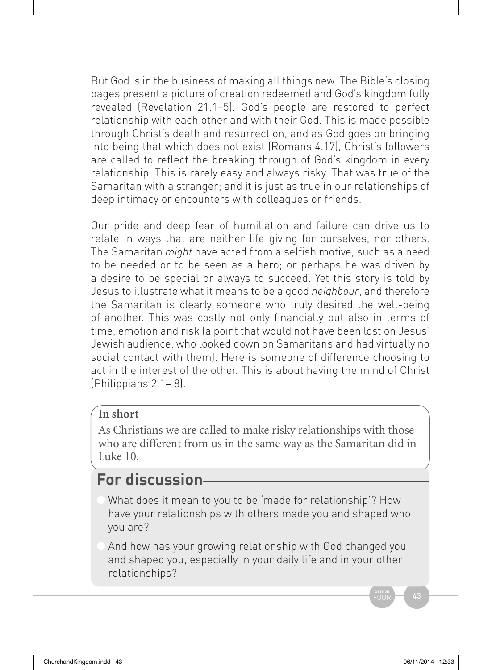But God is in the business of making all things new. The Bible's closing pages present a picture of creation redeemed and God's kingdom fully revealed (Revelation 21.1–5). God's people are restored to perfect relationship with each other and with their God. This is made possible through Christ's death and resurrection, and as God goes on bringing into being that which does not exist (Romans 4.17), Christ's followers are called to reflect the breaking through of God's kingdom in every relationship. This is rarely easy and always risky. That was true of the Samaritan with a stranger; and it is just as true in our relationships of deep intimacy or encounters with colleagues or friends.

Our pride and deep fear of humiliation and failure can drive us to relate in ways that are neither life-giving for ourselves, nor others. The Samaritan *might* have acted from a selfish motive, such as a need to be needed or to be seen as a hero; or perhaps he was driven by a desire to be special or always to succeed. Yet this story is told by Jesus to illustrate what it means to be a good *neighbour*, and therefore the Samaritan is clearly someone who truly desired the well-being of another. This was costly not only financially but also in terms of time, emotion and risk (a point that would not have been lost on Jesus' Jewish audience, who looked down on Samaritans and had virtually no social contact with them). Here is someone of difference choosing to act in the interest of the other. This is about having the mind of Christ (Philippians 2.1– 8).

#### **In short**

As Christians we are called to make risky relationships with those who are different from us in the same way as the Samaritan did in Luke 10.

## **For discussion**

What does it mean to you to be 'made for relationship'? How have your relationships with others made you and shaped who you are?

And how has your growing relationship with God changed you and shaped you, especially in your daily life and in your other relationships?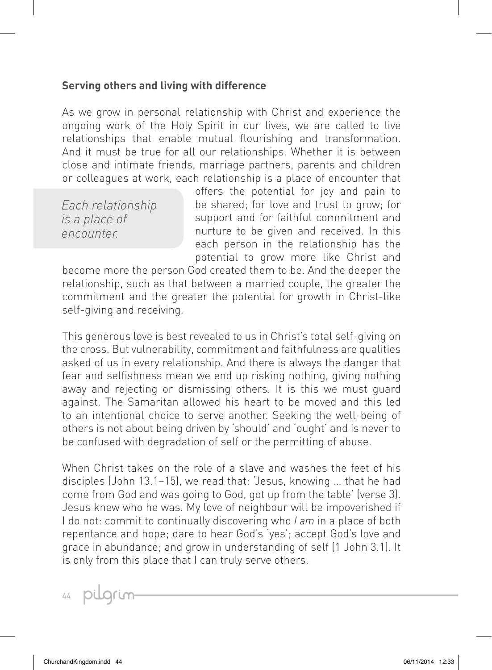#### **Serving others and living with difference**

As we grow in personal relationship with Christ and experience the ongoing work of the Holy Spirit in our lives, we are called to live relationships that enable mutual flourishing and transformation. And it must be true for all our relationships. Whether it is between close and intimate friends, marriage partners, parents and children or colleagues at work, each relationship is a place of encounter that

*Each relationship is a place of encounter.*

offers the potential for joy and pain to be shared; for love and trust to grow; for support and for faithful commitment and nurture to be given and received. In this each person in the relationship has the potential to grow more like Christ and

become more the person God created them to be. And the deeper the relationship, such as that between a married couple, the greater the commitment and the greater the potential for growth in Christ-like self-giving and receiving.

This generous love is best revealed to us in Christ's total self-giving on the cross. But vulnerability, commitment and faithfulness are qualities asked of us in every relationship. And there is always the danger that fear and selfishness mean we end up risking nothing, giving nothing away and rejecting or dismissing others. It is this we must guard against. The Samaritan allowed his heart to be moved and this led to an intentional choice to serve another. Seeking the well-being of others is not about being driven by 'should' and 'ought' and is never to be confused with degradation of self or the permitting of abuse.

When Christ takes on the role of a slave and washes the feet of his disciples (John 13.1–15), we read that: 'Jesus, knowing … that he had come from God and was going to God, got up from the table' (verse 3). Jesus knew who he was. My love of neighbour will be impoverished if I do not: commit to continually discovering who *I am* in a place of both repentance and hope; dare to hear God's 'yes'; accept God's love and grace in abundance; and grow in understanding of self (1 John 3.1). It is only from this place that I can truly serve others.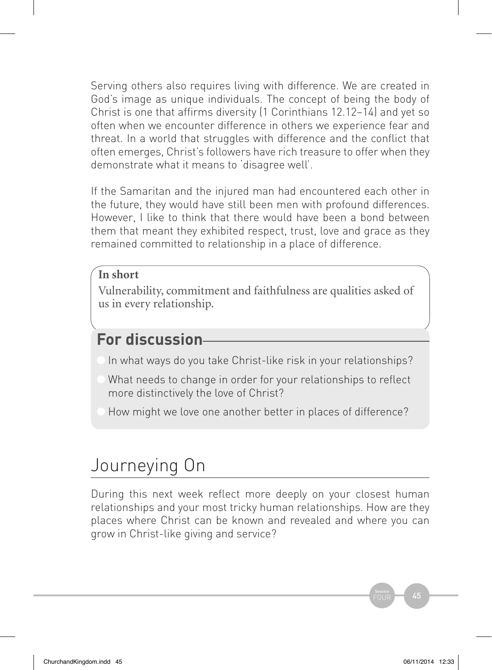Serving others also requires living with difference. We are created in God's image as unique individuals. The concept of being the body of Christ is one that affirms diversity (1 Corinthians 12.12–14) and yet so often when we encounter difference in others we experience fear and threat. In a world that struggles with difference and the conflict that often emerges, Christ's followers have rich treasure to offer when they demonstrate what it means to 'disagree well'.

If the Samaritan and the injured man had encountered each other in the future, they would have still been men with profound differences. However, I like to think that there would have been a bond between them that meant they exhibited respect, trust, love and grace as they remained committed to relationship in a place of difference.

#### **In short**

Vulnerability, commitment and faithfulness are qualities asked of us in every relationship.

## **For discussion**

- In what ways do you take Christ-like risk in your relationships?
- What needs to change in order for your relationships to reflect more distinctively the love of Christ?
- How might we love one another better in places of difference?

# Journeying On

During this next week reflect more deeply on your closest human relationships and your most tricky human relationships. How are they places where Christ can be known and revealed and where you can grow in Christ-like giving and service?